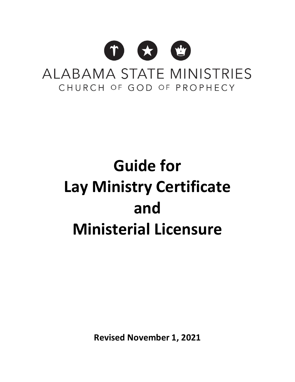

# **Guide for Lay Ministry Certificate and Ministerial Licensure**

**Revised November 1, 2021**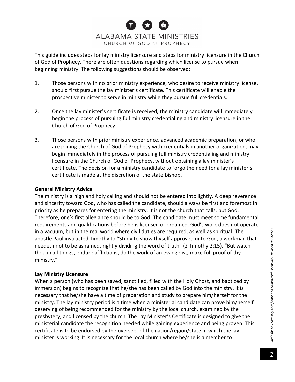This guide includes steps for lay ministry licensure and steps for ministry licensure in the Church of God of Prophecy. There are often questions regarding which license to pursue when beginning ministry. The following suggestions should be observed:

- 1. Those persons with no prior ministry experience, who desire to receive ministry license, should first pursue the lay minister's certificate. This certificate will enable the prospective minister to serve in ministry while they pursue full credentials.
- 2. Once the lay minister's certificate is received, the ministry candidate will immediately begin the process of pursuing full ministry credentialing and ministry licensure in the Church of God of Prophecy.
- 3. Those persons with prior ministry experience, advanced academic preparation, or who are joining the Church of God of Prophecy with credentials in another organization, may begin immediately in the process of pursuing full ministry credentialing and ministry licensure in the Church of God of Prophecy, without obtaining a lay minister's certificate. The decision for a ministry candidate to forgo the need for a lay minister's certificate is made at the discretion of the state bishop.

## **General Ministry Advice**

The ministry is a high and holy calling and should not be entered into lightly. A deep reverence and sincerity toward God, who has called the candidate, should always be first and foremost in priority as he prepares for entering the ministry. It is not the church that calls, but God. Therefore, one's first allegiance should be to God. The candidate must meet some fundamental requirements and qualifications before he is licensed or ordained. God's work does not operate in a vacuum, but in the real world where civil duties are required, as well as spiritual. The apostle Paul instructed Timothy to "Study to show thyself approved unto God, a workman that needeth not to be ashamed, rightly dividing the word of truth" (2 Timothy 2:15). "But watch thou in all things, endure afflictions, do the work of an evangelist, make full proof of thy ministry."

## **Lay Ministry Licensure**

When a person (who has been saved, sanctified, filled with the Holy Ghost, and baptized by immersion) begins to recognize that he/she has been called by God into the ministry, it is necessary that he/she have a time of preparation and study to prepare him/herself for the ministry. The lay ministry period is a time when a ministerial candidate can prove him/herself deserving of being recommended for the ministry by the local church, examined by the presbytery, and licensed by the church. The Lay Minister's Certificate is designed to give the ministerial candidate the recognition needed while gaining experience and being proven. This certificate is to be endorsed by the overseer of the nation/region/state in which the lay minister is working. It is necessary for the local church where he/she is a member to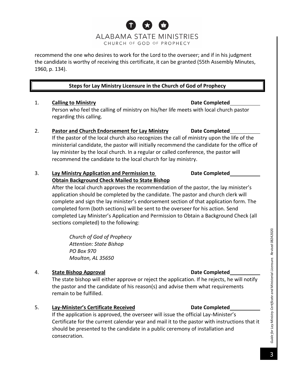## recommend the one who desires to work for the Lord to the overseer; and if in his judgment the candidate is worthy of receiving this certificate, it can be granted (55th Assembly Minutes, 1960, p. 134).

## **Steps for Lay Ministry Licensure in the Church of God of Prophecy**

## 1. **Calling to Ministry Date Completed**

Person who feel the calling of ministry on his/her life meets with local church pastor regarding this calling.

2. **Pastor and Church Endorsement for Lay Ministry Date Completed** If the pastor of the local church also recognizes the call of ministry upon the life of the ministerial candidate, the pastor will initially recommend the candidate for the office of lay minister by the local church. In a regular or called conference, the pastor will recommend the candidate to the local church for lay ministry.

## 3. **Lay Ministry Application and Permission to Date Completed Obtain Background Check Mailed to State Bishop**

After the local church approves the recommendation of the pastor, the lay minister's application should be completed by the candidate. The pastor and church clerk will complete and sign the lay minister's endorsement section of that application form. The completed form (both sections) will be sent to the overseer for his action. Send completed Lay Minister's Application and Permission to Obtain a Background Check (all sections completed) to the following:

*Church of God of Prophecy Attention: State Bishop PO Box 970 Moulton, AL 35650*

## 4. **State Bishop Approval Date Completed**

The state bishop will either approve or reject the application. If he rejects, he will notify the pastor and the candidate of his reason(s) and advise them what requirements remain to be fulfilled.

5. **Lay-Minister's Certificate Received Date Completed**

If the application is approved, the overseer will issue the official Lay-Minister's Certificate for the current calendar year and mail it to the pastor with instructions that it should be presented to the candidate in a public ceremony of installation and consecration.



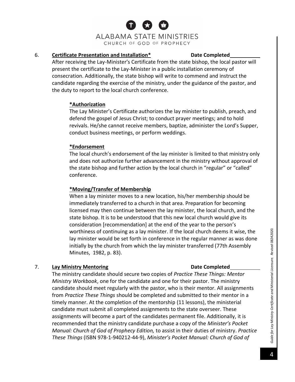## 6. **Certificate Presentation and Installation\* Date Completed**

After receiving the Lay-Minister's Certificate from the state bishop, the local pastor will present the certificate to the Lay-Minister in a public installation ceremony of consecration. Additionally, the state bishop will write to commend and instruct the candidate regarding the exercise of the ministry, under the guidance of the pastor, and the duty to report to the local church conference.

## **\*Authorization**

The Lay Minister's Certificate authorizes the lay minister to publish, preach, and defend the gospel of Jesus Christ; to conduct prayer meetings; and to hold revivals. He/she cannot receive members, baptize, administer the Lord's Supper, conduct business meetings, or perform weddings.

## **\*Endorsement**

The local church's endorsement of the lay minister is limited to that ministry only and does not authorize further advancement in the ministry without approval of the state bishop and further action by the local church in "regular" or "called" conference.

## **\*Moving/Transfer of Membership**

When a lay minister moves to a new location, his/her membership should be immediately transferred to a church in that area. Preparation for becoming licensed may then continue between the lay minister, the local church, and the state bishop. It is to be understood that this new local church would give its consideration [recommendation] at the end of the year to the person's worthiness of continuing as a lay minister. If the local church deems it wise, the lay minister would be set forth in conference in the regular manner as was done initially by the church from which the lay minister transferred (77th Assembly Minutes, 1982, p. 83).

## 7. Lay Ministry Mentoring **Date Date** Completed

The ministry candidate should secure two copies of *Practice These Things: Mentor Ministry Workbook*, one for the candidate and one for their pastor. The ministry candidate should meet regularly with the pastor, who is their mentor. All assignments from *Practice These Things* should be completed and submitted to their mentor in a timely manner. At the completion of the mentorship (11 lessons), the ministerial candidate must submit all completed assignments to the state overseer. These assignments will become a part of the candidates permanent file. Additionally, it is recommended that the ministry candidate purchase a copy of the *Minister's Pocket Manual: Church of God of Prophecy Edition,* to assist in their duties of ministry. *Practice These Things* (ISBN 978-1-940212-44-9), *Minister's Pocket Manual: Church of God of* 

# *Guide for Lay Ministry Certificate and Ministerial Licensure. Revised 08242020.* Guide for Lay Ministry Certificate and Ministerial Licensure. Revised 08242020.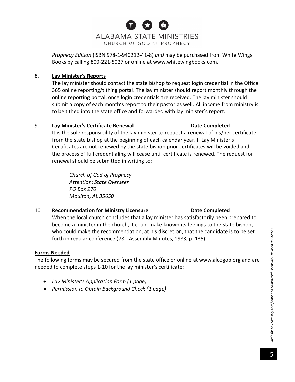

*Prophecy Edition* (ISBN 978-1-940212-41-8) *and* may be purchased from White Wings Books by calling 800-221-5027 or online at www.whitewingbooks.com.

## 8. **Lay Minister's Reports**

The lay minister should contact the state bishop to request login credential in the Office 365 online reporting/tithing portal. The lay minister should report monthly through the online reporting portal, once login credentials are received. The lay minister should submit a copy of each month's report to their pastor as well. All income from ministry is to be tithed into the state office and forwarded with lay minister's report.

## 9. **Lay Minister's Certificate Renewal Date Completed**

It is the sole responsibility of the lay minister to request a renewal of his/her certificate from the state bishop at the beginning of each calendar year. If Lay Minister's Certificates are not renewed by the state bishop prior certificates will be voided and the process of full credentialing will cease until certificate is renewed. The request for renewal should be submitted in writing to:

*Church of God of Prophecy Attention: State Overseer PO Box 970 Moulton, AL 35650*

## 10. **Recommendation for Ministry Licensure Date Completed**

## When the local church concludes that a lay minister has satisfactorily been prepared to become a minister in the church, it could make known its feelings to the state bishop, who could make the recommendation, at his discretion, that the candidate is to be set forth in regular conference (78<sup>th</sup> Assembly Minutes, 1983, p. 135).

## **Forms Needed**

The following forms may be secured from the state office or online at [www.alcogop.org](http://www.alcogop.org/) and are needed to complete steps 1-10 for the lay minister's certificate:

- *Lay Minister's Application Form (1 page)*
- *Permission to Obtain Background Check (1 page)*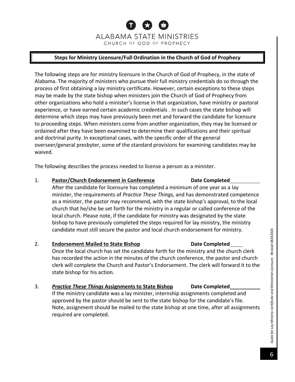## **Steps for Ministry Licensure/Full Ordination in the Church of God of Prophecy**

The following steps are for ministry licensure in the Church of God of Prophecy, in the state of Alabama. The majority of ministers who pursue their full ministry credentials do so through the process of first obtaining a lay ministry certificate. However, certain exceptions to these steps may be made by the state bishop when ministers join the Church of God of Prophecy from other organizations who hold a minister's license in that organization, have ministry or pastoral experience, or have earned certain academic credentials . In such cases the state bishop will determine which steps may have previously been met and forward the candidate for licensure to proceeding steps. When ministers come from another organization, they may be licensed or ordained after they have been examined to determine their qualifications and their spiritual and doctrinal purity. In exceptional cases, with the specific order of the general overseer/general presbyter, some of the standard provisions for examining candidates may be waived.

The following describes the process needed to license a person as a minister.

## 1. **Pastor/Church Endorsement in Conference Date Completed**

After the candidate for licensure has completed a minimum of one year as a lay minister, the requirements of *Practice These Things,* and has demonstrated competence as a minister, the pastor may recommend, with the state bishop's approval, to the local church that he/she be set forth for the ministry in a regular or called conference of the local church. Please note, if the candidate for ministry was designated by the state bishop to have previously completed the steps required for lay ministry, the ministry candidate must still secure the pastor and local church endorsement for ministry.

## 2. **Endorsement Mailed to State Bishop Date Completed**

Once the local church has set the candidate forth for the ministry and the church clerk has recorded the action in the minutes of the church conference, the pastor and church clerk will complete the Church and Pastor's Endorsement. The clerk will forward it to the state bishop for his action.

## 3. *Practice These Things* **Assignments to State Bishop Date Completed**

If the ministry candidate was a lay minister, internship assignments completed and approved by the pastor should be sent to the state bishop for the candidate's file. Note, assignment should be mailed to the state bishop at one time, after all assignments required are completed.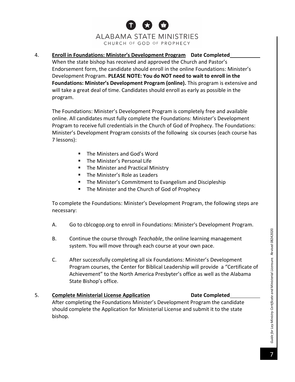4. **Enroll in Foundations: Minister's Development Program Date Completed** When the state bishop has received and approved the Church and Pastor's Endorsement form, the candidate should enroll in the online Foundations: Minister's Development Program. **PLEASE NOTE: You do NOT need to wait to enroll in the Foundations: Minister's Development Program (online).** This program is extensive and will take a great deal of time. Candidates should enroll as early as possible in the program.

The Foundations: Minister's Development Program is completely free and available online. All candidates must fully complete the Foundations: Minister's Development Program to receive full credentials in the Church of God of Prophecy. The Foundations: Minister's Development Program consists of the following six courses (each course has 7 lessons):

- The Ministers and God's Word
- The Minister's Personal Life
- The Minister and Practical Ministry
- The Minister's Role as Leaders
- The Minister's Commitment to Evangelism and Discipleship
- The Minister and the Church of God of Prophecy

To complete the Foundations: Minister's Development Program, the following steps are necessary:

- A. Go to cblcogop.org to enroll in Foundations: Minister's Development Program.
- B. Continue the course through *Teachable*, the online learning management system. You will move through each course at your own pace.
- C. After successfully completing all six Foundations: Minister's Development Program courses, the Center for Biblical Leadership will provide a "Certificate of Achievement" to the North America Presbyter's office as well as the Alabama State Bishop's office.

## 5. **Complete Ministerial License Application Date Completed** After completing the Foundations Minister's Development Program the candidate should complete the Application for Ministerial License and submit it to the state bishop.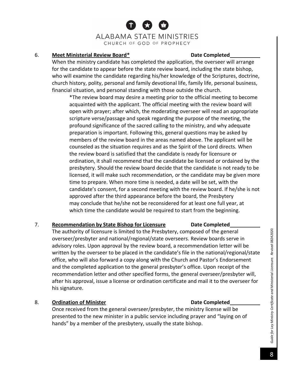## 6. **Meet Ministerial Review Board\* Date Completed**

When the ministry candidate has completed the application, the overseer will arrange for the candidate to appear before the state review board, including the state bishop, who will examine the candidate regarding his/her knowledge of the Scriptures, doctrine, church history, polity, personal and family devotional life, family life, personal business, financial situation, and personal standing with those outside the church.

\*The review board may desire a meeting prior to the official meeting to become acquainted with the applicant. The official meeting with the review board will open with prayer; after which, the moderating overseer will read an appropriate scripture verse/passage and speak regarding the purpose of the meeting, the profound significance of the sacred calling to the ministry, and why adequate preparation is important. Following this, general questions may be asked by members of the review board in the areas named above. The applicant will be counseled as the situation requires and as the Spirit of the Lord directs. When the review board is satisfied that the candidate is ready for licensure or ordination, it shall recommend that the candidate be licensed or ordained by the presbytery. Should the review board decide that the candidate is not ready to be licensed, it will make such recommendation, or the candidate may be given more time to prepare. When more time is needed, a date will be set, with the candidate's consent, for a second meeting with the review board. If he/she is not approved after the third appearance before the board, the Presbytery may conclude that he/she not be reconsidered for at least one full year, at which time the candidate would be required to start from the beginning.

## 7. **Recommendation by State Bishop for Licensure Date Completed**

The authority of licensure is limited to the Presbytery, composed of the general overseer/presbyter and national/regional/state overseers. Review boards serve in advisory roles. Upon approval by the review board, a recommendation letter will be written by the overseer to be placed in the candidate's file in the national/regional/state office, who will also forward a copy along with the Church and Pastor's Endorsement and the completed application to the general presbyter's office. Upon receipt of the recommendation letter and other specified forms, the general overseer/presbyter will, after his approval, issue a license or ordination certificate and mail it to the overseer for his signature.

## 8. **Ordination of Minister Date Completed**

Once received from the general overseer/presbyter, the ministry license will be presented to the new minister in a public service including prayer and "laying on of hands" by a member of the presbytery, usually the state bishop.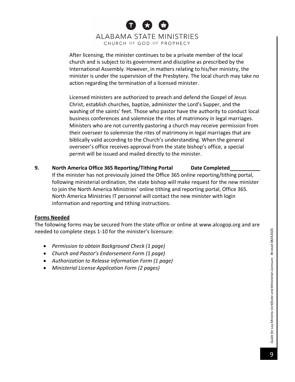After licensing, the minister continues to be a private member of the local church and is subject to its government and discipline as prescribed by the International Assembly. However, in matters relating to his/her ministry, the minister is under the supervision of the Presbytery. The local church may take no action regarding the termination of a licensed minister.

Licensed ministers are authorized to preach and defend the Gospel of Jesus Christ, establish churches, baptize, administer the Lord's Supper, and the washing of the saints' feet. Those who pastor have the authority to conduct local business conferences and solemnize the rites of matrimony in legal marriages. Ministers who are not currently pastoring a church may receive permission from their overseer to solemnize the rites of matrimony in legal marriages that are biblically valid according to the Church's understanding. When the general overseer's office receives approval from the state bishop's office, a special permit will be issued and mailed directly to the minister.

**9. North America Office 365 Reporting/Tithing Portal Date Completed** If the minister has not previously joined the Office 365 online reporting/tithing portal, following ministerial ordination, the state bishop will make request for the new minister to join the North America Ministries' online tithing and reporting portal, Office 365. North America Ministries IT personnel will contact the new minister with login information and reporting and tithing instructions.

## **Forms Needed**

The following forms may be secured from the state office or online at [www.alcogop.org](http://www.alcogop.org/) and are needed to complete steps 1-10 for the minister's licensure:

- *Permission to obtain Background Check (1 page)*
- *Church and Pastor's Endorsement Form (1 page)*
- *Authorization to Release Information Form (1 page)*
- *Ministerial License Application Form (2 pages)*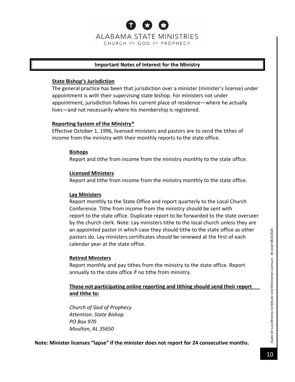## **Important Notes of Interest for the Ministry**

## **State Bishop's Jurisdiction**

The general practice has been that jurisdiction over a minister (minister's license) under appointment is with their supervising state bishop. For ministers not under appointment, jurisdiction follows his current place of residence—where he actually lives—and not necessarily where his membership is registered.

## **Reporting System of the Ministry\***

Effective October 1, 1996, licensed ministers and pastors are to send the tithes of income from the ministry with their monthly reports to the state office.

## **Bishops**

Report and tithe from income from the ministry monthly to the state office.

## **Licensed Ministers**

Report and tithe from income from the ministry monthly to the state office.

## **Lay Ministers**

Report monthly to the State Office and report quarterly to the Local Church Conference. Tithe from income from the ministry should be sent with report to the state office. Duplicate report to be forwarded to the state overseer by the church clerk. Note: Lay ministers tithe to the local church unless they are an appointed pastor in which case they should tithe to the state office as other pastors do. Lay ministers certificates should be renewed at the first of each calendar year at the state office.

## **Retired Ministers**

Report monthly and pay tithes from the ministry to the state office. Report annually to the state office if no tithe from ministry.

**Those not participating online reporting and tithing should send their report and tithe to:**

*Church of God of Prophecy Attention: State Bishop PO Box 970 Moulton, AL 35650*

**Note: Minister licenses "lapse" if the minister does not report for 24 consecutive months.**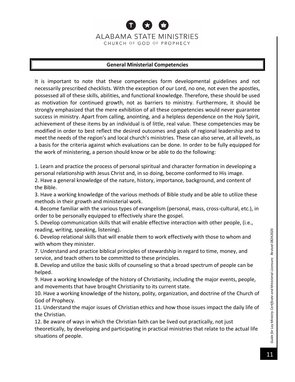## **General Ministerial Competencies**

It is important to note that these competencies form developmental guidelines and not necessarily prescribed checklists. With the exception of our Lord, no one, not even the apostles, possessed all of these skills, abilities, and functional knowledge. Therefore, these should be used as motivation for continued growth, not as barriers to ministry. Furthermore, it should be strongly emphasized that the mere exhibition of all these competencies would never guarantee success in ministry. Apart from calling, anointing, and a helpless dependence on the Holy Spirit, achievement of these items by an individual is of little, real value. These competencies may be modified in order to best reflect the desired outcomes and goals of regional leadership and to meet the needs of the region's and local church's ministries. These can also serve, at all levels, as a basis for the criteria against which evaluations can be done. In order to be fully equipped for the work of ministering, a person should know or be able to do the following:

1. Learn and practice the process of personal spiritual and character formation in developing a personal relationship with Jesus Christ and, in so doing, become conformed to His image.

2. Have a general knowledge of the nature, history, importance, background, and content of the Bible.

3. Have a working knowledge of the various methods of Bible study and be able to utilize these methods in their growth and ministerial work.

4. Become familiar with the various types of evangelism (personal, mass, cross-cultural, etc.), in order to be personally equipped to effectively share the gospel.

5. Develop communication skills that will enable effective interaction with other people, (i.e., reading, writing, speaking, listening).

6. Develop relational skills that will enable them to work effectively with those to whom and with whom they minister.

7. Understand and practice biblical principles of stewardship in regard to time, money, and service, and teach others to be committed to these principles.

8. Develop and utilize the basic skills of counseling so that a broad spectrum of people can be helped.

9. Have a working knowledge of the history of Christianity, including the major events, people, and movements that have brought Christianity to its current state.

10. Have a working knowledge of the history, polity, organization, and doctrine of the Church of God of Prophecy.

11. Understand the major issues of Christian ethics and how those issues impact the daily life of the Christian.

12. Be aware of ways in which the Christian faith can be lived out practically, not just theoretically, by developing and participating in practical ministries that relate to the actual life situations of people.